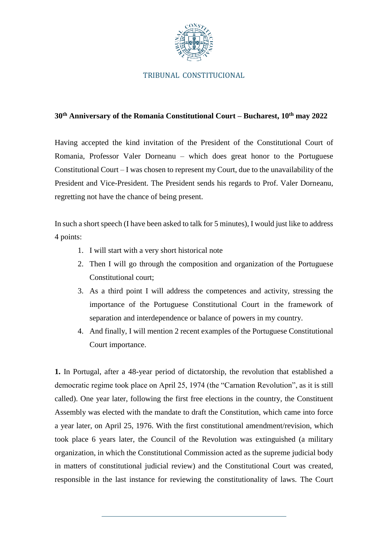

## TRIBUNAL CONSTITUCIONAL

## **30th Anniversary of the Romania Constitutional Court – Bucharest, 10th may 2022**

Having accepted the kind invitation of the President of the Constitutional Court of Romania, Professor Valer Dorneanu – which does great honor to the Portuguese Constitutional Court – I was chosen to represent my Court, due to the unavailability of the President and Vice-President. The President sends his regards to Prof. Valer Dorneanu, regretting not have the chance of being present.

In such a short speech (I have been asked to talk for 5 minutes), I would just like to address 4 points:

- 1. I will start with a very short historical note
- 2. Then I will go through the composition and organization of the Portuguese Constitutional court;
- 3. As a third point I will address the competences and activity, stressing the importance of the Portuguese Constitutional Court in the framework of separation and interdependence or balance of powers in my country.
- 4. And finally, I will mention 2 recent examples of the Portuguese Constitutional Court importance.

**1.** In Portugal, after a 48-year period of dictatorship, the revolution that established a democratic regime took place on April 25, 1974 (the "Carnation Revolution", as it is still called). One year later, following the first free elections in the country, the Constituent Assembly was elected with the mandate to draft the Constitution, which came into force a year later, on April 25, 1976. With the first constitutional amendment/revision, which took place 6 years later, the Council of the Revolution was extinguished (a military organization, in which the Constitutional Commission acted as the supreme judicial body in matters of constitutional judicial review) and the Constitutional Court was created, responsible in the last instance for reviewing the constitutionality of laws. The Court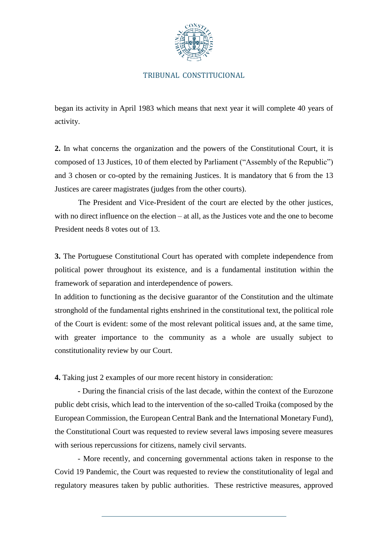

## TRIBUNAL CONSTITUCIONAL

began its activity in April 1983 which means that next year it will complete 40 years of activity.

**2.** In what concerns the organization and the powers of the Constitutional Court, it is composed of 13 Justices, 10 of them elected by Parliament ("Assembly of the Republic") and 3 chosen or co-opted by the remaining Justices. It is mandatory that 6 from the 13 Justices are career magistrates (judges from the other courts).

The President and Vice-President of the court are elected by the other justices, with no direct influence on the election – at all, as the Justices vote and the one to become President needs 8 votes out of 13.

**3.** The Portuguese Constitutional Court has operated with complete independence from political power throughout its existence, and is a fundamental institution within the framework of separation and interdependence of powers.

In addition to functioning as the decisive guarantor of the Constitution and the ultimate stronghold of the fundamental rights enshrined in the constitutional text, the political role of the Court is evident: some of the most relevant political issues and, at the same time, with greater importance to the community as a whole are usually subject to constitutionality review by our Court.

**4.** Taking just 2 examples of our more recent history in consideration:

- During the financial crisis of the last decade, within the context of the Eurozone public debt crisis, which lead to the intervention of the so-called Troika (composed by the European Commission, the European Central Bank and the International Monetary Fund), the Constitutional Court was requested to review several laws imposing severe measures with serious repercussions for citizens, namely civil servants.

- More recently, and concerning governmental actions taken in response to the Covid 19 Pandemic, the Court was requested to review the constitutionality of legal and regulatory measures taken by public authorities. These restrictive measures, approved